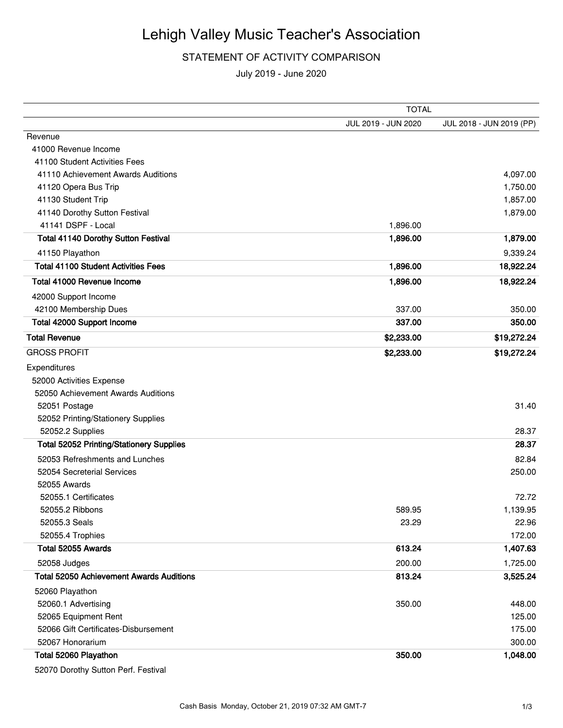## Lehigh Valley Music Teacher's Association

## STATEMENT OF ACTIVITY COMPARISON

July 2019 - June 2020

|                                                 | <b>TOTAL</b>        |                          |  |
|-------------------------------------------------|---------------------|--------------------------|--|
|                                                 | JUL 2019 - JUN 2020 | JUL 2018 - JUN 2019 (PP) |  |
| Revenue                                         |                     |                          |  |
| 41000 Revenue Income                            |                     |                          |  |
| 41100 Student Activities Fees                   |                     |                          |  |
| 41110 Achievement Awards Auditions              |                     | 4,097.00                 |  |
| 41120 Opera Bus Trip                            |                     | 1,750.00                 |  |
| 41130 Student Trip                              |                     | 1,857.00                 |  |
| 41140 Dorothy Sutton Festival                   |                     | 1,879.00                 |  |
| 41141 DSPF - Local                              | 1,896.00            |                          |  |
| <b>Total 41140 Dorothy Sutton Festival</b>      | 1,896.00            | 1,879.00                 |  |
| 41150 Playathon                                 |                     | 9,339.24                 |  |
| <b>Total 41100 Student Activities Fees</b>      | 1,896.00            | 18,922.24                |  |
| Total 41000 Revenue Income                      | 1,896.00            | 18,922.24                |  |
| 42000 Support Income                            |                     |                          |  |
| 42100 Membership Dues                           | 337.00              | 350.00                   |  |
| Total 42000 Support Income                      | 337.00              | 350.00                   |  |
| <b>Total Revenue</b>                            | \$2,233.00          | \$19,272.24              |  |
| <b>GROSS PROFIT</b>                             | \$2,233.00          | \$19,272.24              |  |
| Expenditures                                    |                     |                          |  |
| 52000 Activities Expense                        |                     |                          |  |
| 52050 Achievement Awards Auditions              |                     |                          |  |
| 52051 Postage                                   |                     | 31.40                    |  |
| 52052 Printing/Stationery Supplies              |                     |                          |  |
| 52052.2 Supplies                                |                     | 28.37                    |  |
| <b>Total 52052 Printing/Stationery Supplies</b> |                     | 28.37                    |  |
| 52053 Refreshments and Lunches                  |                     | 82.84                    |  |
| 52054 Secreterial Services                      |                     | 250.00                   |  |
| 52055 Awards                                    |                     |                          |  |
| 52055.1 Certificates                            |                     | 72.72                    |  |
| 52055.2 Ribbons                                 | 589.95              | 1,139.95                 |  |
| 52055.3 Seals                                   | 23.29               | 22.96                    |  |
| 52055.4 Trophies                                |                     | 172.00                   |  |
| Total 52055 Awards                              | 613.24              | 1,407.63                 |  |
| 52058 Judges                                    | 200.00              | 1,725.00                 |  |
| <b>Total 52050 Achievement Awards Auditions</b> | 813.24              | 3,525.24                 |  |
| 52060 Playathon                                 |                     |                          |  |
| 52060.1 Advertising                             | 350.00              | 448.00                   |  |
| 52065 Equipment Rent                            |                     | 125.00                   |  |
| 52066 Gift Certificates-Disbursement            |                     | 175.00                   |  |
| 52067 Honorarium                                |                     | 300.00                   |  |
| Total 52060 Playathon                           | 350.00              | 1,048.00                 |  |
|                                                 |                     |                          |  |

52070 Dorothy Sutton Perf. Festival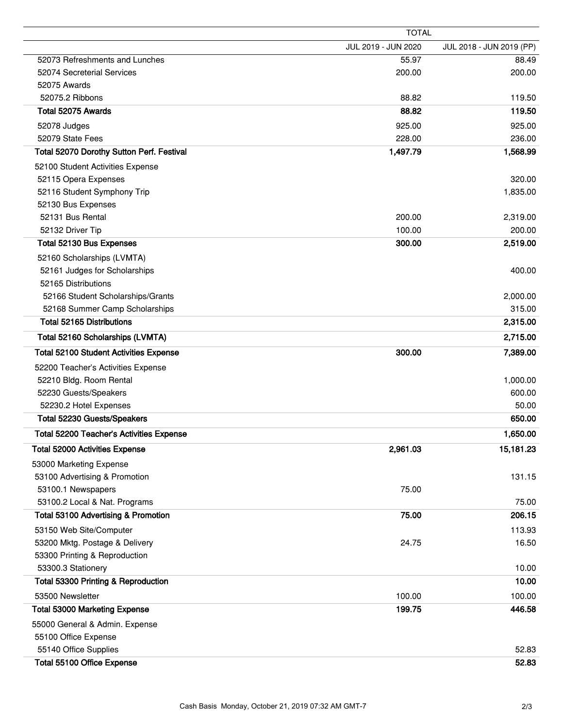|                                               | <b>TOTAL</b>        |                          |  |
|-----------------------------------------------|---------------------|--------------------------|--|
|                                               | JUL 2019 - JUN 2020 | JUL 2018 - JUN 2019 (PP) |  |
| 52073 Refreshments and Lunches                | 55.97               | 88.49                    |  |
| 52074 Secreterial Services                    | 200.00              | 200.00                   |  |
| 52075 Awards                                  |                     |                          |  |
| 52075.2 Ribbons                               | 88.82               | 119.50                   |  |
| Total 52075 Awards                            | 88.82               | 119.50                   |  |
| 52078 Judges                                  | 925.00              | 925.00                   |  |
| 52079 State Fees                              | 228.00              | 236.00                   |  |
| Total 52070 Dorothy Sutton Perf. Festival     | 1,497.79            | 1,568.99                 |  |
| 52100 Student Activities Expense              |                     |                          |  |
| 52115 Opera Expenses                          |                     | 320.00                   |  |
| 52116 Student Symphony Trip                   |                     | 1,835.00                 |  |
| 52130 Bus Expenses                            |                     |                          |  |
| 52131 Bus Rental                              | 200.00              | 2,319.00                 |  |
| 52132 Driver Tip                              | 100.00              | 200.00                   |  |
| Total 52130 Bus Expenses                      | 300.00              | 2,519.00                 |  |
| 52160 Scholarships (LVMTA)                    |                     |                          |  |
| 52161 Judges for Scholarships                 |                     | 400.00                   |  |
| 52165 Distributions                           |                     |                          |  |
| 52166 Student Scholarships/Grants             |                     | 2,000.00                 |  |
| 52168 Summer Camp Scholarships                |                     | 315.00                   |  |
| <b>Total 52165 Distributions</b>              |                     | 2,315.00                 |  |
| Total 52160 Scholarships (LVMTA)              |                     | 2,715.00                 |  |
| <b>Total 52100 Student Activities Expense</b> | 300.00              | 7,389.00                 |  |
| 52200 Teacher's Activities Expense            |                     |                          |  |
| 52210 Bldg. Room Rental                       |                     | 1,000.00                 |  |
| 52230 Guests/Speakers                         |                     | 600.00                   |  |
| 52230.2 Hotel Expenses                        |                     | 50.00                    |  |
| Total 52230 Guests/Speakers                   |                     | 650.00                   |  |
| Total 52200 Teacher's Activities Expense      |                     | 1,650.00                 |  |
| <b>Total 52000 Activities Expense</b>         | 2,961.03            | 15,181.23                |  |
| 53000 Marketing Expense                       |                     |                          |  |
| 53100 Advertising & Promotion                 |                     | 131.15                   |  |
| 53100.1 Newspapers                            | 75.00               |                          |  |
| 53100.2 Local & Nat. Programs                 |                     | 75.00                    |  |
| Total 53100 Advertising & Promotion           | 75.00               | 206.15                   |  |
| 53150 Web Site/Computer                       |                     | 113.93                   |  |
| 53200 Mktg. Postage & Delivery                | 24.75               | 16.50                    |  |
| 53300 Printing & Reproduction                 |                     |                          |  |
| 53300.3 Stationery                            |                     | 10.00                    |  |
| Total 53300 Printing & Reproduction           |                     | 10.00                    |  |
| 53500 Newsletter                              | 100.00              | 100.00                   |  |
| <b>Total 53000 Marketing Expense</b>          | 199.75              | 446.58                   |  |
| 55000 General & Admin. Expense                |                     |                          |  |
| 55100 Office Expense                          |                     |                          |  |
| 55140 Office Supplies                         |                     | 52.83                    |  |
| Total 55100 Office Expense                    |                     | 52.83                    |  |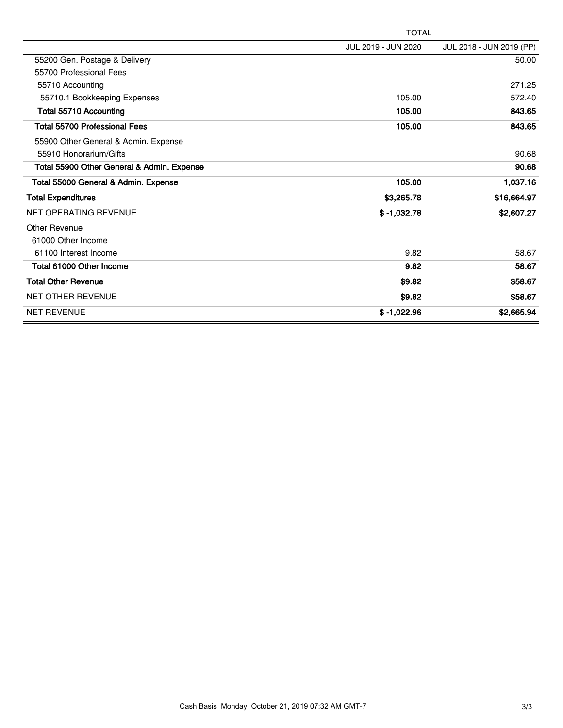|                                            | <b>TOTAL</b>        |                          |  |
|--------------------------------------------|---------------------|--------------------------|--|
|                                            | JUL 2019 - JUN 2020 | JUL 2018 - JUN 2019 (PP) |  |
| 55200 Gen. Postage & Delivery              |                     | 50.00                    |  |
| 55700 Professional Fees                    |                     |                          |  |
| 55710 Accounting                           |                     | 271.25                   |  |
| 55710.1 Bookkeeping Expenses               | 105.00              | 572.40                   |  |
| Total 55710 Accounting                     | 105.00              | 843.65                   |  |
| <b>Total 55700 Professional Fees</b>       | 105.00              | 843.65                   |  |
| 55900 Other General & Admin. Expense       |                     |                          |  |
| 55910 Honorarium/Gifts                     |                     | 90.68                    |  |
| Total 55900 Other General & Admin. Expense |                     | 90.68                    |  |
| Total 55000 General & Admin. Expense       | 105.00              | 1,037.16                 |  |
| <b>Total Expenditures</b>                  | \$3,265.78          | \$16,664.97              |  |
| <b>NET OPERATING REVENUE</b>               | $$ -1,032.78$       | \$2,607.27               |  |
| Other Revenue                              |                     |                          |  |
| 61000 Other Income                         |                     |                          |  |
| 61100 Interest Income                      | 9.82                | 58.67                    |  |
| Total 61000 Other Income                   | 9.82                | 58.67                    |  |
| <b>Total Other Revenue</b>                 | \$9.82              | \$58.67                  |  |
| <b>NET OTHER REVENUE</b>                   | \$9.82              | \$58.67                  |  |
| <b>NET REVENUE</b>                         | $$ -1,022.96$       | \$2,665.94               |  |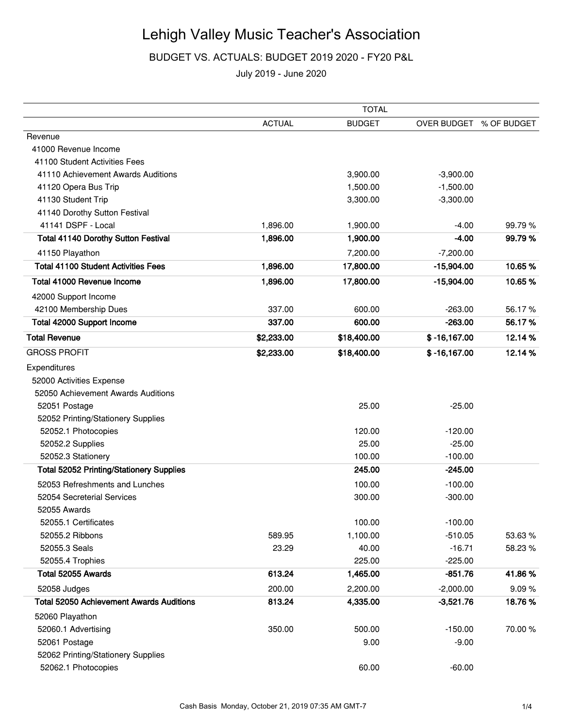## Lehigh Valley Music Teacher's Association

BUDGET VS. ACTUALS: BUDGET 2019 2020 - FY20 P&L

July 2019 - June 2020

|                                                 | <b>TOTAL</b>  |               |                         |         |
|-------------------------------------------------|---------------|---------------|-------------------------|---------|
|                                                 | <b>ACTUAL</b> | <b>BUDGET</b> | OVER BUDGET % OF BUDGET |         |
| Revenue                                         |               |               |                         |         |
| 41000 Revenue Income                            |               |               |                         |         |
| 41100 Student Activities Fees                   |               |               |                         |         |
| 41110 Achievement Awards Auditions              |               | 3,900.00      | $-3,900.00$             |         |
| 41120 Opera Bus Trip                            |               | 1,500.00      | $-1,500.00$             |         |
| 41130 Student Trip                              |               | 3,300.00      | $-3,300.00$             |         |
| 41140 Dorothy Sutton Festival                   |               |               |                         |         |
| 41141 DSPF - Local                              | 1,896.00      | 1,900.00      | $-4.00$                 | 99.79%  |
| <b>Total 41140 Dorothy Sutton Festival</b>      | 1,896.00      | 1,900.00      | $-4.00$                 | 99.79%  |
| 41150 Playathon                                 |               | 7,200.00      | $-7,200.00$             |         |
| <b>Total 41100 Student Activities Fees</b>      | 1,896.00      | 17,800.00     | $-15,904.00$            | 10.65%  |
| Total 41000 Revenue Income                      | 1,896.00      | 17,800.00     | $-15,904.00$            | 10.65%  |
| 42000 Support Income                            |               |               |                         |         |
| 42100 Membership Dues                           | 337.00        | 600.00        | $-263.00$               | 56.17%  |
| <b>Total 42000 Support Income</b>               | 337.00        | 600.00        | $-263.00$               | 56.17%  |
| <b>Total Revenue</b>                            | \$2,233.00    | \$18,400.00   | $$ -16,167.00$          | 12.14%  |
| <b>GROSS PROFIT</b>                             | \$2,233.00    | \$18,400.00   | $$ -16, 167.00$         | 12.14 % |
| Expenditures                                    |               |               |                         |         |
| 52000 Activities Expense                        |               |               |                         |         |
| 52050 Achievement Awards Auditions              |               |               |                         |         |
| 52051 Postage                                   |               | 25.00         | $-25.00$                |         |
| 52052 Printing/Stationery Supplies              |               |               |                         |         |
| 52052.1 Photocopies                             |               | 120.00        | $-120.00$               |         |
| 52052.2 Supplies                                |               | 25.00         | $-25.00$                |         |
| 52052.3 Stationery                              |               | 100.00        | $-100.00$               |         |
| <b>Total 52052 Printing/Stationery Supplies</b> |               | 245.00        | $-245.00$               |         |
| 52053 Refreshments and Lunches                  |               | 100.00        | $-100.00$               |         |
| 52054 Secreterial Services                      |               | 300.00        | $-300.00$               |         |
| 52055 Awards                                    |               |               |                         |         |
| 52055.1 Certificates                            |               | 100.00        | $-100.00$               |         |
| 52055.2 Ribbons                                 | 589.95        | 1,100.00      | $-510.05$               | 53.63%  |
| 52055.3 Seals                                   | 23.29         | 40.00         | $-16.71$                | 58.23%  |
| 52055.4 Trophies                                |               | 225.00        | $-225.00$               |         |
| Total 52055 Awards                              | 613.24        | 1,465.00      | $-851.76$               | 41.86%  |
| 52058 Judges                                    | 200.00        | 2,200.00      | $-2,000.00$             | 9.09%   |
| <b>Total 52050 Achievement Awards Auditions</b> | 813.24        | 4,335.00      | $-3,521.76$             | 18.76%  |
| 52060 Playathon                                 |               |               |                         |         |
| 52060.1 Advertising                             | 350.00        | 500.00        | $-150.00$               | 70.00%  |
| 52061 Postage                                   |               | 9.00          | $-9.00$                 |         |
| 52062 Printing/Stationery Supplies              |               |               |                         |         |
| 52062.1 Photocopies                             |               | 60.00         | $-60.00$                |         |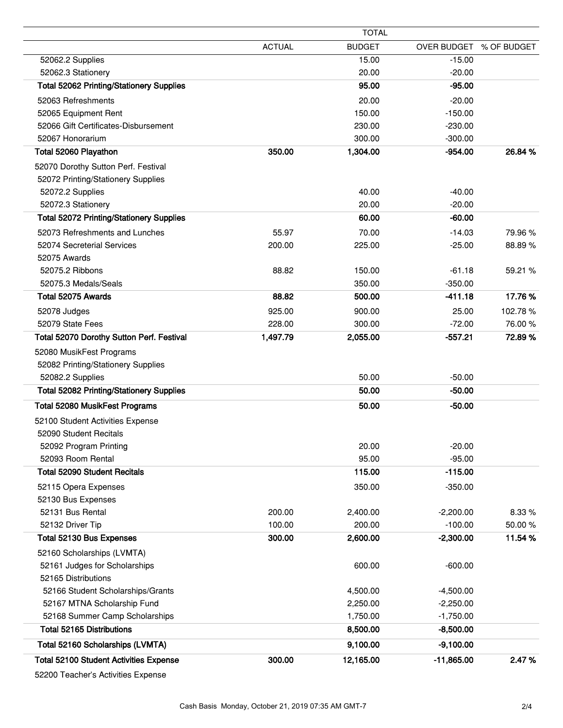|                                                 |               | <b>TOTAL</b>  |                         |         |
|-------------------------------------------------|---------------|---------------|-------------------------|---------|
|                                                 | <b>ACTUAL</b> | <b>BUDGET</b> | OVER BUDGET % OF BUDGET |         |
| 52062.2 Supplies                                |               | 15.00         | $-15.00$                |         |
| 52062.3 Stationery                              |               | 20.00         | $-20.00$                |         |
| <b>Total 52062 Printing/Stationery Supplies</b> |               | 95.00         | $-95.00$                |         |
| 52063 Refreshments                              |               | 20.00         | $-20.00$                |         |
| 52065 Equipment Rent                            |               | 150.00        | $-150.00$               |         |
| 52066 Gift Certificates-Disbursement            |               | 230.00        | $-230.00$               |         |
| 52067 Honorarium                                |               | 300.00        | $-300.00$               |         |
| Total 52060 Playathon                           | 350.00        | 1,304.00      | $-954.00$               | 26.84 % |
| 52070 Dorothy Sutton Perf. Festival             |               |               |                         |         |
| 52072 Printing/Stationery Supplies              |               |               |                         |         |
| 52072.2 Supplies                                |               | 40.00         | $-40.00$                |         |
| 52072.3 Stationery                              |               | 20.00         | $-20.00$                |         |
| <b>Total 52072 Printing/Stationery Supplies</b> |               | 60.00         | $-60.00$                |         |
| 52073 Refreshments and Lunches                  | 55.97         | 70.00         | $-14.03$                | 79.96%  |
| 52074 Secreterial Services                      | 200.00        | 225.00        | $-25.00$                | 88.89%  |
| 52075 Awards                                    |               |               |                         |         |
| 52075.2 Ribbons                                 | 88.82         | 150.00        | $-61.18$                | 59.21 % |
| 52075.3 Medals/Seals                            |               | 350.00        | $-350.00$               |         |
| Total 52075 Awards                              | 88.82         | 500.00        | $-411.18$               | 17.76%  |
| 52078 Judges                                    | 925.00        | 900.00        | 25.00                   | 102.78% |
| 52079 State Fees                                | 228.00        | 300.00        | $-72.00$                | 76.00 % |
| Total 52070 Dorothy Sutton Perf. Festival       | 1,497.79      | 2,055.00      | $-557.21$               | 72.89%  |
| 52080 MusikFest Programs                        |               |               |                         |         |
| 52082 Printing/Stationery Supplies              |               |               |                         |         |
| 52082.2 Supplies                                |               | 50.00         | $-50.00$                |         |
| <b>Total 52082 Printing/Stationery Supplies</b> |               | 50.00         | $-50.00$                |         |
| Total 52080 MusikFest Programs                  |               | 50.00         | $-50.00$                |         |
| 52100 Student Activities Expense                |               |               |                         |         |
| 52090 Student Recitals                          |               |               |                         |         |
| 52092 Program Printing                          |               | 20.00         | $-20.00$                |         |
| 52093 Room Rental                               |               | 95.00         | $-95.00$                |         |
| <b>Total 52090 Student Recitals</b>             |               | 115.00        | $-115.00$               |         |
| 52115 Opera Expenses                            |               | 350.00        | $-350.00$               |         |
| 52130 Bus Expenses                              |               |               |                         |         |
| 52131 Bus Rental                                | 200.00        | 2,400.00      | $-2,200.00$             | 8.33 %  |
| 52132 Driver Tip                                | 100.00        | 200.00        | $-100.00$               | 50.00%  |
| Total 52130 Bus Expenses                        | 300.00        | 2,600.00      | $-2,300.00$             | 11.54 % |
| 52160 Scholarships (LVMTA)                      |               |               |                         |         |
| 52161 Judges for Scholarships                   |               | 600.00        | $-600.00$               |         |
| 52165 Distributions                             |               |               |                         |         |
| 52166 Student Scholarships/Grants               |               | 4,500.00      | $-4,500.00$             |         |
| 52167 MTNA Scholarship Fund                     |               | 2,250.00      | $-2,250.00$             |         |
| 52168 Summer Camp Scholarships                  |               | 1,750.00      | $-1,750.00$             |         |
| <b>Total 52165 Distributions</b>                |               | 8,500.00      | $-8,500.00$             |         |
| Total 52160 Scholarships (LVMTA)                |               | 9,100.00      | $-9,100.00$             |         |
| <b>Total 52100 Student Activities Expense</b>   | 300.00        | 12,165.00     | $-11,865.00$            | 2.47%   |
|                                                 |               |               |                         |         |

52200 Teacher's Activities Expense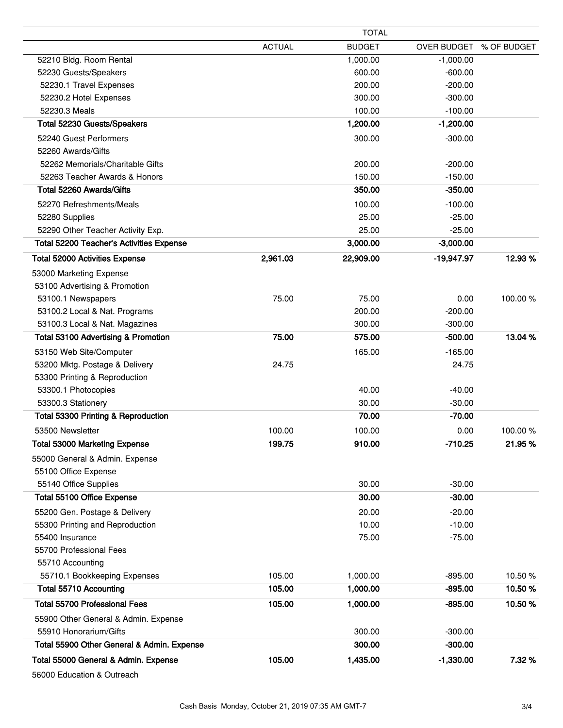|                                                        | <b>TOTAL</b>  |               |                         |         |
|--------------------------------------------------------|---------------|---------------|-------------------------|---------|
|                                                        | <b>ACTUAL</b> | <b>BUDGET</b> | OVER BUDGET % OF BUDGET |         |
| 52210 Bldg. Room Rental                                |               | 1,000.00      | $-1,000.00$             |         |
| 52230 Guests/Speakers                                  |               | 600.00        | $-600.00$               |         |
| 52230.1 Travel Expenses                                |               | 200.00        | $-200.00$               |         |
| 52230.2 Hotel Expenses                                 |               | 300.00        | $-300.00$               |         |
| 52230.3 Meals                                          |               | 100.00        | $-100.00$               |         |
| Total 52230 Guests/Speakers                            |               | 1,200.00      | $-1,200.00$             |         |
| 52240 Guest Performers                                 |               | 300.00        | $-300.00$               |         |
| 52260 Awards/Gifts                                     |               |               |                         |         |
| 52262 Memorials/Charitable Gifts                       |               | 200.00        | $-200.00$               |         |
| 52263 Teacher Awards & Honors                          |               | 150.00        | $-150.00$               |         |
| Total 52260 Awards/Gifts                               |               | 350.00        | $-350.00$               |         |
| 52270 Refreshments/Meals                               |               | 100.00        | $-100.00$               |         |
| 52280 Supplies                                         |               | 25.00         | $-25.00$                |         |
| 52290 Other Teacher Activity Exp.                      |               | 25.00         | $-25.00$                |         |
| <b>Total 52200 Teacher's Activities Expense</b>        |               | 3,000.00      | $-3,000.00$             |         |
| <b>Total 52000 Activities Expense</b>                  | 2,961.03      | 22,909.00     | $-19,947.97$            | 12.93%  |
| 53000 Marketing Expense                                |               |               |                         |         |
| 53100 Advertising & Promotion                          |               |               |                         |         |
| 53100.1 Newspapers                                     | 75.00         | 75.00         | 0.00                    | 100.00% |
| 53100.2 Local & Nat. Programs                          |               | 200.00        | $-200.00$               |         |
| 53100.3 Local & Nat. Magazines                         |               | 300.00        | $-300.00$               |         |
| <b>Total 53100 Advertising &amp; Promotion</b>         | 75.00         | 575.00        | $-500.00$               | 13.04%  |
| 53150 Web Site/Computer                                |               | 165.00        | $-165.00$               |         |
| 53200 Mktg. Postage & Delivery                         | 24.75         |               | 24.75                   |         |
| 53300 Printing & Reproduction<br>53300.1 Photocopies   |               | 40.00         | $-40.00$                |         |
| 53300.3 Stationery                                     |               | 30.00         | $-30.00$                |         |
| Total 53300 Printing & Reproduction                    |               | 70.00         | $-70.00$                |         |
| 53500 Newsletter                                       | 100.00        | 100.00        | 0.00                    | 100.00% |
| Total 53000 Marketing Expense                          | 199.75        | 910.00        | -710.25                 | 21.95 % |
|                                                        |               |               |                         |         |
| 55000 General & Admin. Expense<br>55100 Office Expense |               |               |                         |         |
| 55140 Office Supplies                                  |               | 30.00         | $-30.00$                |         |
| Total 55100 Office Expense                             |               | 30.00         | $-30.00$                |         |
| 55200 Gen. Postage & Delivery                          |               | 20.00         | $-20.00$                |         |
| 55300 Printing and Reproduction                        |               | 10.00         | $-10.00$                |         |
| 55400 Insurance                                        |               | 75.00         | $-75.00$                |         |
| 55700 Professional Fees                                |               |               |                         |         |
| 55710 Accounting                                       |               |               |                         |         |
| 55710.1 Bookkeeping Expenses                           | 105.00        | 1,000.00      | $-895.00$               | 10.50 % |
| <b>Total 55710 Accounting</b>                          | 105.00        | 1,000.00      | $-895.00$               | 10.50%  |
| <b>Total 55700 Professional Fees</b>                   | 105.00        | 1,000.00      | $-895.00$               | 10.50%  |
| 55900 Other General & Admin. Expense                   |               |               |                         |         |
| 55910 Honorarium/Gifts                                 |               | 300.00        | $-300.00$               |         |
| Total 55900 Other General & Admin. Expense             |               | 300.00        | $-300.00$               |         |
| Total 55000 General & Admin. Expense                   | 105.00        | 1,435.00      | $-1,330.00$             | 7.32%   |
|                                                        |               |               |                         |         |

56000 Education & Outreach